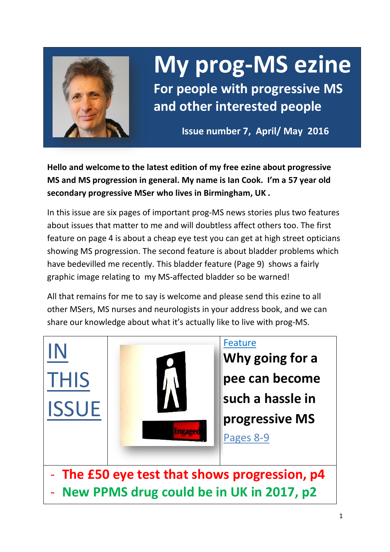

IN

THIS

ISSUE

# **My prog-MS ezine**

**For people with progressive MS and other interested people**

**Issue number 7, April/ May 2016**

**Hello and welcome to the latest edition of my free ezine about progressive MS and MS progression in general. My name is Ian Cook. I'm a 57 year old secondary progressive MSer who lives in Birmingham, UK .** 

In this issue are six pages of important prog-MS news stories plus two features about issues that matter to me and will doubtless affect others too. The first feature on page 4 is about a cheap eye test you can get at high street opticians showing MS progression. The second feature is about bladder problems which have bedevilled me recently. This bladder feature (Page 9) shows a fairly graphic image relating to my MS-affected bladder so be warned!

All that remains for me to say is welcome and please send this ezine to all other MSers, MS nurses and neurologists in your address book, and we can share our knowledge about what it's actually like to live with prog-MS.



**Why going for a pee can become such a hassle in progressive MS**

Pages 8-9

The £50 eye test that shows progression, p4 - **New PPMS drug could be in UK in 2017, p2**

Eneage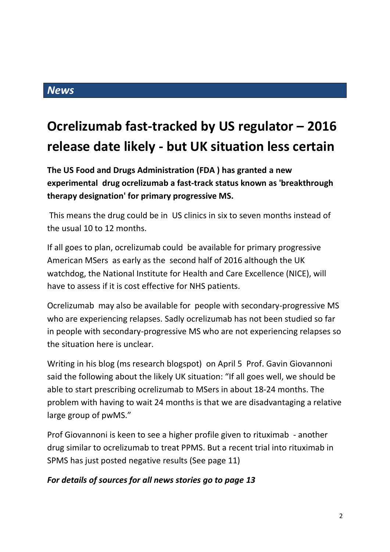## **Ocrelizumab fast-tracked by US regulator – 2016 release date likely - but UK situation less certain**

**The US Food and Drugs Administration (FDA ) has granted a new experimental drug ocrelizumab a fast-track status known as 'breakthrough therapy designation' for primary progressive MS.**

This means the drug could be in US clinics in six to seven months instead of the usual 10 to 12 months.

If all goes to plan, ocrelizumab could be available for primary progressive American MSers as early as the second half of 2016 although the UK watchdog, the National Institute for Health and Care Excellence (NICE), will have to assess if it is cost effective for NHS patients.

Ocrelizumab may also be available for people with secondary-progressive MS who are experiencing relapses. Sadly ocrelizumab has not been studied so far in people with secondary-progressive MS who are not experiencing relapses so the situation here is unclear.

Writing in his blog (ms research blogspot) on April 5 Prof. Gavin Giovannoni said the following about the likely UK situation: "If all goes well, we should be able to start prescribing ocrelizumab to MSers in about 18-24 months. The problem with having to wait 24 months is that we are disadvantaging a relative large group of pwMS."

Prof Giovannoni is keen to see a higher profile given to rituximab - another drug similar to ocrelizumab to treat PPMS. But a recent trial into rituximab in SPMS has just posted negative results (See page 11)

## *For details of sources for all news stories go to page 13*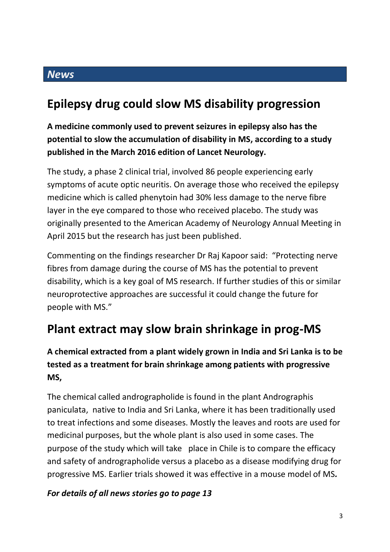## **Epilepsy drug could slow MS disability progression**

**A medicine commonly used to prevent seizures in epilepsy also has the potential to slow the accumulation of disability in MS, according to a study published in the March 2016 edition of Lancet Neurology.** 

The study, a phase 2 clinical trial, involved 86 people experiencing early symptoms of acute optic neuritis. On average those who received the epilepsy medicine which is called phenytoin had 30% less damage to the nerve fibre layer in the eye compared to those who received placebo. The study was originally presented to the American Academy of Neurology Annual Meeting in April 2015 but the research has just been published.

Commenting on the findings researcher Dr Raj Kapoor said: "Protecting nerve fibres from damage during the course of MS has the potential to prevent disability, which is a key goal of MS research. If further studies of this or similar neuroprotective approaches are successful it could change the future for people with MS."

## **Plant extract may slow brain shrinkage in prog-MS**

## **A chemical extracted from a plant widely grown in India and Sri Lanka is to be tested as a treatment for brain shrinkage among patients with progressive MS,**

The chemical called andrographolide is found in the plant Andrographis paniculata, native to India and Sri Lanka, where it has been traditionally used to treat infections and some diseases. Mostly the leaves and roots are used for medicinal purposes, but the whole plant is also used in some cases. The purpose of the study which will take place in Chile is to compare the efficacy and safety of andrographolide versus a placebo as a disease modifying drug for progressive MS. Earlier trials showed it was effective in a mouse model of MS*.*

## *For details of all news stories go to page 13*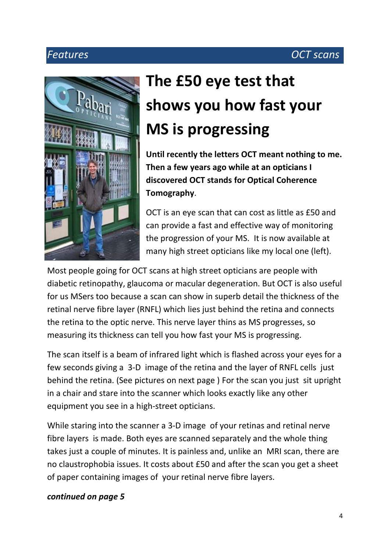## *Features OCT scans*



# **The £50 eye test that shows you how fast your MS is progressing**

**Until recently the letters OCT meant nothing to me. Then a few years ago while at an opticians I discovered OCT stands for Optical Coherence Tomography**.

OCT is an eye scan that can cost as little as £50 and can provide a fast and effective way of monitoring the progression of your MS. It is now available at many high street opticians like my local one (left).

Most people going for OCT scans at high street opticians are people with diabetic retinopathy, glaucoma or macular degeneration. But OCT is also useful for us MSers too because a scan can show in superb detail the thickness of the retinal nerve fibre layer (RNFL) which lies just behind the retina and connects the retina to the optic nerve. This nerve layer thins as MS progresses, so measuring its thickness can tell you how fast your MS is progressing.

The scan itself is a beam of infrared light which is flashed across your eyes for a few seconds giving a 3-D image of the retina and the layer of RNFL cells just behind the retina. (See pictures on next page ) For the scan you just sit upright in a chair and stare into the scanner which looks exactly like any other equipment you see in a high-street opticians.

While staring into the scanner a 3-D image of your retinas and retinal nerve fibre layers is made. Both eyes are scanned separately and the whole thing takes just a couple of minutes. It is painless and, unlike an MRI scan, there are no claustrophobia issues. It costs about £50 and after the scan you get a sheet of paper containing images of your retinal nerve fibre layers.

#### *continued on page 5*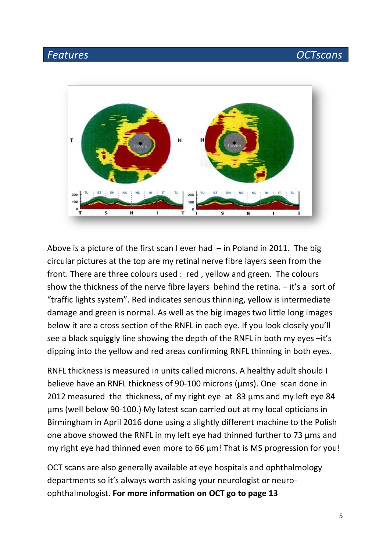## *Features OCTscans*



Above is a picture of the first scan I ever had  $-$  in Poland in 2011. The big circular pictures at the top are my retinal nerve fibre layers seen from the front. There are three colours used : red , yellow and green. The colours show the thickness of the nerve fibre layers behind the retina.  $-$  it's a sort of "traffic lights system". Red indicates serious thinning, yellow is intermediate damage and green is normal. As well as the big images two little long images below it are a cross section of the RNFL in each eye. If you look closely you'll see a black squiggly line showing the depth of the RNFL in both my eyes –it's dipping into the yellow and red areas confirming RNFL thinning in both eyes.

RNFL thickness is measured in units called microns. A healthy adult should I believe have an RNFL thickness of 90-100 microns (μms). One scan done in 2012 measured the thickness, of my right eye at 83 μms and my left eye 84 μms (well below 90-100.) My latest scan carried out at my local opticians in Birmingham in April 2016 done using a slightly different machine to the Polish one above showed the RNFL in my left eye had thinned further to 73 μms and my right eye had thinned even more to 66 μm! That is MS progression for you!

OCT scans are also generally available at eye hospitals and ophthalmology departments so it's always worth asking your neurologist or neuroophthalmologist. **For more information on OCT go to page 13**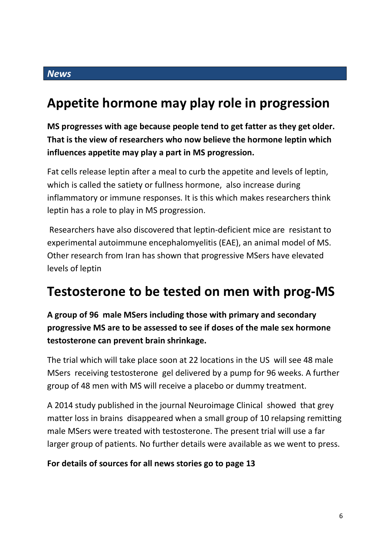## **Appetite hormone may play role in progression**

**MS progresses with age because people tend to get fatter as they get older. That is the view of researchers who now believe the hormone leptin which influences appetite may play a part in MS progression.** 

Fat cells release leptin after a meal to curb the appetite and levels of leptin, which is called the satiety or fullness hormone, also increase during inflammatory or immune responses. It is this which makes researchers think leptin has a role to play in MS progression.

Researchers have also discovered that leptin-deficient mice are resistant to experimental autoimmune encephalomyelitis (EAE), an animal model of MS. Other research from Iran has shown that progressive MSers have elevated levels of leptin

## **Testosterone to be tested on men with prog-MS**

**A group of 96 male MSers including those with primary and secondary progressive MS are to be assessed to see if doses of the male sex hormone testosterone can prevent brain shrinkage.**

The trial which will take place soon at 22 locations in the US will see 48 male MSers receiving testosterone gel delivered by a pump for 96 weeks. A further group of 48 men with MS will receive a placebo or dummy treatment.

A 2014 study published in the journal Neuroimage Clinical showed that grey matter loss in brains disappeared when a small group of 10 relapsing remitting male MSers were treated with testosterone. The present trial will use a far larger group of patients. No further details were available as we went to press.

#### **For details of sources for all news stories go to page 13**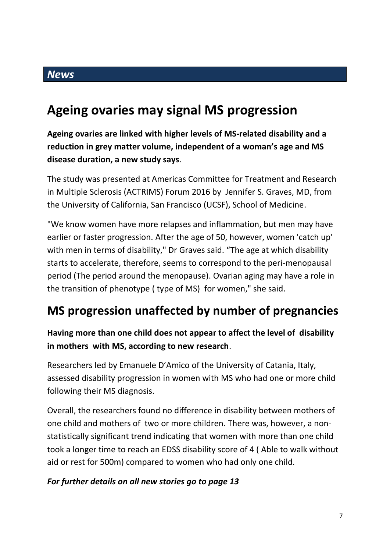## **Ageing ovaries may signal MS progression**

**Ageing ovaries are linked with higher levels of MS-related disability and a reduction in grey matter volume, independent of a woman's age and MS disease duration, a new study says**.

The study was presented at Americas Committee for Treatment and Research in Multiple Sclerosis (ACTRIMS) Forum 2016 by Jennifer S. Graves, MD, from the University of California, San Francisco (UCSF), School of Medicine.

"We know women have more relapses and inflammation, but men may have earlier or faster progression. After the age of 50, however, women 'catch up' with men in terms of disability," Dr Graves said. "The age at which disability starts to accelerate, therefore, seems to correspond to the peri-menopausal period (The period around the menopause). Ovarian aging may have a role in the transition of phenotype ( type of MS) for women," she said.

## **MS progression unaffected by number of pregnancies**

## **Having more than one child does not appear to affect the level of disability in mothers with MS, according to new research**.

Researchers led by Emanuele D'Amico of the University of Catania, Italy, assessed disability progression in women with MS who had one or more child following their MS diagnosis.

Overall, the researchers found no difference in disability between mothers of one child and mothers of two or more children. There was, however, a nonstatistically significant trend indicating that women with more than one child took a longer time to reach an EDSS disability score of 4 ( Able to walk without aid or rest for 500m) compared to women who had only one child.

## *For further details on all new stories go to page 13*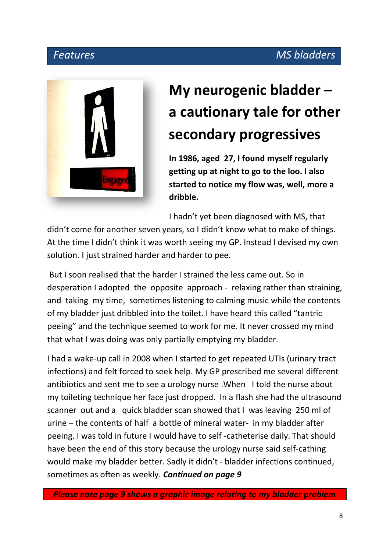## *Features MS bladders*



# **My neurogenic bladder – a cautionary tale for other secondary progressives**

**In 1986, aged 27, I found myself regularly getting up at night to go to the loo. I also started to notice my flow was, well, more a dribble.**

I hadn't yet been diagnosed with MS, that

didn't come for another seven years, so I didn't know what to make of things. At the time I didn't think it was worth seeing my GP. Instead I devised my own solution. I just strained harder and harder to pee.

But I soon realised that the harder I strained the less came out. So in desperation I adopted the opposite approach - relaxing rather than straining, and taking my time, sometimes listening to calming music while the contents of my bladder just dribbled into the toilet. I have heard this called "tantric peeing" and the technique seemed to work for me. It never crossed my mind that what I was doing was only partially emptying my bladder.

I had a wake-up call in 2008 when I started to get repeated UTIs (urinary tract infections) and felt forced to seek help. My GP prescribed me several different antibiotics and sent me to see a urology nurse .When I told the nurse about my toileting technique her face just dropped. In a flash she had the ultrasound scanner out and a quick bladder scan showed that I was leaving 250 ml of urine – the contents of half a bottle of mineral water- in my bladder after peeing. I was told in future I would have to self -catheterise daily. That should have been the end of this story because the urology nurse said self-cathing would make my bladder better. Sadly it didn't - bladder infections continued, sometimes as often as weekly. *Continued on page 9*

 *Please note page 9 shows a graphic image relating to my bladder problem*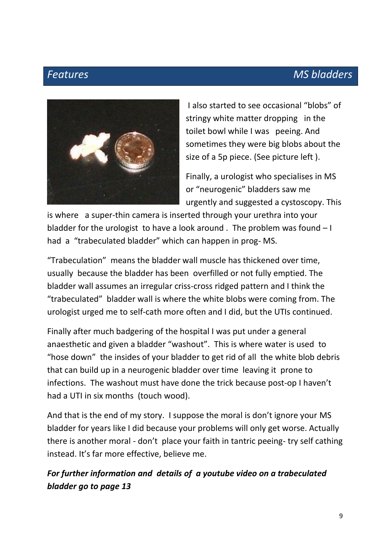## *Features MS bladders*



I also started to see occasional "blobs" of stringy white matter dropping in the toilet bowl while I was peeing. And sometimes they were big blobs about the size of a 5p piece. (See picture left ).

Finally, a urologist who specialises in MS or "neurogenic" bladders saw me urgently and suggested a cystoscopy. This

is where a super-thin camera is inserted through your urethra into your bladder for the urologist to have a look around . The problem was found – I had a "trabeculated bladder" which can happen in prog- MS.

"Trabeculation" means the bladder wall muscle has thickened over time, usually because the bladder has been overfilled or not fully emptied. The bladder wall assumes an irregular criss-cross ridged pattern and I think the "trabeculated" bladder wall is where the white blobs were coming from. The urologist urged me to self-cath more often and I did, but the UTIs continued.

Finally after much badgering of the hospital I was put under a general anaesthetic and given a bladder "washout". This is where water is used to "hose down" the insides of your bladder to get rid of all the white blob debris that can build up in a neurogenic bladder over time leaving it prone to infections. The washout must have done the trick because post-op I haven't had a UTI in six months (touch wood).

And that is the end of my story. I suppose the moral is don't ignore your MS bladder for years like I did because your problems will only get worse. Actually there is another moral - don't place your faith in tantric peeing- try self cathing instead. It's far more effective, believe me.

## *For further information and details of a youtube video on a trabeculated bladder go to page 13*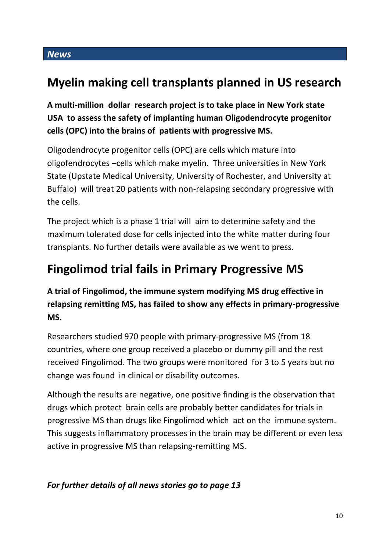## **Myelin making cell transplants planned in US research**

**A multi-million dollar research project is to take place in New York state USA to assess the safety of implanting human Oligodendrocyte progenitor cells (OPC) into the brains of patients with progressive MS.**

Oligodendrocyte progenitor cells (OPC) are cells which mature into oligofendrocytes –cells which make myelin. Three universities in New York State (Upstate Medical University, University of Rochester, and University at Buffalo) will treat 20 patients with non-relapsing secondary progressive with the cells.

The project which is a phase 1 trial will aim to determine safety and the maximum tolerated dose for cells injected into the white matter during four transplants. No further details were available as we went to press.

## **Fingolimod trial fails in Primary Progressive MS**

**A trial of Fingolimod, the immune system modifying MS drug effective in relapsing remitting MS, has failed to show any effects in primary-progressive MS.**

Researchers studied 970 people with primary-progressive MS (from 18 countries, where one group received a placebo or dummy pill and the rest received Fingolimod. The two groups were monitored for 3 to 5 years but no change was found in clinical or disability outcomes.

Although the results are negative, one positive finding is the observation that drugs which protect brain cells are probably better candidates for trials in progressive MS than drugs like Fingolimod which act on the immune system. This suggests inflammatory processes in the brain may be different or even less active in progressive MS than relapsing-remitting MS.

## *For further details of all news stories go to page 13*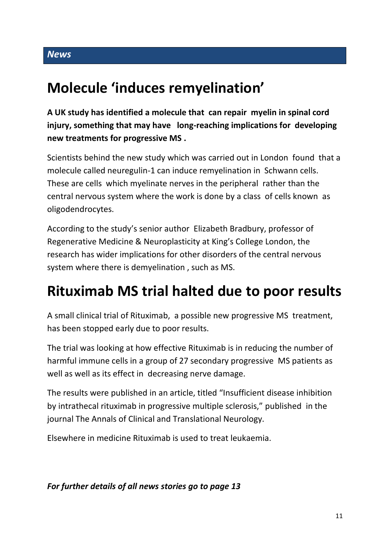## **Molecule 'induces remyelination'**

**A UK study has identified a molecule that can repair myelin in spinal cord injury, something that may have long-reaching implications for developing new treatments for progressive MS .**

Scientists behind the new study which was carried out in London found that a molecule called neuregulin-1 can induce remyelination in Schwann cells. These are cells which myelinate nerves in the peripheral rather than the central nervous system where the work is done by a class of cells known as oligodendrocytes.

According to the study's senior author Elizabeth Bradbury, professor of Regenerative Medicine & Neuroplasticity at King's College London, the research has wider implications for other disorders of the central nervous system where there is demyelination , such as MS.

## **Rituximab MS trial halted due to poor results**

A small clinical trial of Rituximab, a possible new progressive MS treatment, has been stopped early due to poor results.

The trial was looking at how effective Rituximab is in reducing the number of harmful immune cells in a group of 27 secondary progressive MS patients as well as well as its effect in decreasing nerve damage.

The results were published in an article, titled "Insufficient disease inhibition by intrathecal rituximab in progressive multiple sclerosis," published in the journal The Annals of Clinical and Translational Neurology.

Elsewhere in medicine Rituximab is used to treat leukaemia.

## *For further details of all news stories go to page 13*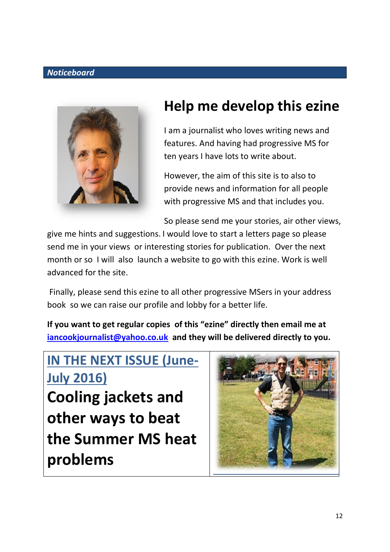#### *Noticeboard*



## **Help me develop this ezine**

I am a journalist who loves writing news and features. And having had progressive MS for ten years I have lots to write about.

However, the aim of this site is to also to provide news and information for all people with progressive MS and that includes you.

So please send me your stories, air other views,

give me hints and suggestions. I would love to start a letters page so please send me in your views or interesting stories for publication. Over the next month or so I will also launch a website to go with this ezine. Work is well advanced for the site.

Finally, please send this ezine to all other progressive MSers in your address book so we can raise our profile and lobby for a better life.

**If you want to get regular copies of this "ezine" directly then email me at [iancookjournalist@yahoo.co.uk](mailto:iancookjournalist@yahoo.co.uk) and they will be delivered directly to you.**

# **IN THE NEXT ISSUE (June-July 2016)**

**Cooling jackets and other ways to beat the Summer MS heat problems**

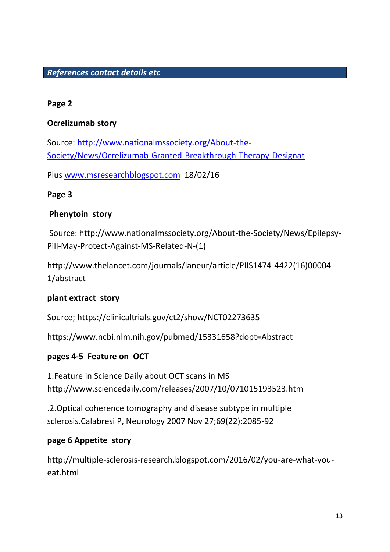## *References contact details etc*

#### **Page 2**

## **Ocrelizumab story**

Source: [http://www.nationalmssociety.org/About-the-](http://www.nationalmssociety.org/About-the-Society/News/Ocrelizumab-Granted-Breakthrough-Therapy-Designat)[Society/News/Ocrelizumab-Granted-Breakthrough-Therapy-Designat](http://www.nationalmssociety.org/About-the-Society/News/Ocrelizumab-Granted-Breakthrough-Therapy-Designat)

Plus [www.msresearchblogspot.com](http://www.msresearchblogspot.com/) 18/02/16

#### **Page 3**

#### **Phenytoin story**

Source: http://www.nationalmssociety.org/About-the-Society/News/Epilepsy-Pill-May-Protect-Against-MS-Related-N-(1)

http://www.thelancet.com/journals/laneur/article/PIIS1474-4422(16)00004- 1/abstract

## **plant extract story**

Source; https://clinicaltrials.gov/ct2/show/NCT02273635

https://www.ncbi.nlm.nih.gov/pubmed/15331658?dopt=Abstract

## **pages 4-5 Feature on OCT**

1.Feature in Science Daily about OCT scans in MS http://www.sciencedaily.com/releases/2007/10/071015193523.htm

.2.Optical coherence tomography and disease subtype in multiple sclerosis.Calabresi P, Neurology 2007 Nov 27;69(22):2085-92

#### **page 6 Appetite story**

http://multiple-sclerosis-research.blogspot.com/2016/02/you-are-what-youeat.html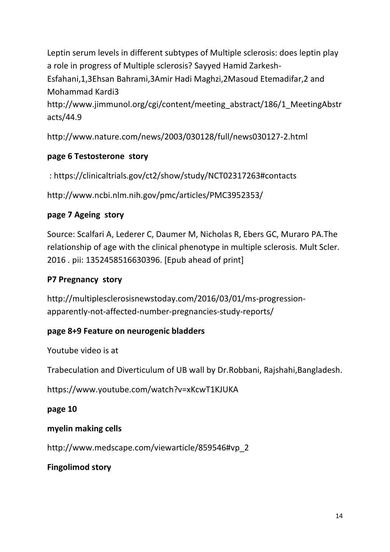Leptin serum levels in different subtypes of Multiple sclerosis: does leptin play a role in progress of Multiple sclerosis? Sayyed Hamid Zarkesh-Esfahani,1,3Ehsan Bahrami,3Amir Hadi Maghzi,2Masoud Etemadifar,2 and Mohammad Kardi3 http://www.jimmunol.org/cgi/content/meeting\_abstract/186/1\_MeetingAbstr

http://www.nature.com/news/2003/030128/full/news030127-2.html

## **page 6 Testosterone story**

: https://clinicaltrials.gov/ct2/show/study/NCT02317263#contacts

http://www.ncbi.nlm.nih.gov/pmc/articles/PMC3952353/

## **page 7 Ageing story**

acts/44.9

Source: Scalfari A, Lederer C, Daumer M, Nicholas R, Ebers GC, Muraro PA.The relationship of age with the clinical phenotype in multiple sclerosis. Mult Scler. 2016 . pii: 1352458516630396. [Epub ahead of print]

## **P7 Pregnancy story**

http://multiplesclerosisnewstoday.com/2016/03/01/ms-progressionapparently-not-affected-number-pregnancies-study-reports/

## **page 8+9 Feature on neurogenic bladders**

Youtube video is at

Trabeculation and Diverticulum of UB wall by Dr.Robbani, Rajshahi,Bangladesh.

https://www.youtube.com/watch?v=xKcwT1KJUKA

## **page 10**

## **myelin making cells**

http://www.medscape.com/viewarticle/859546#vp\_2

## **Fingolimod story**